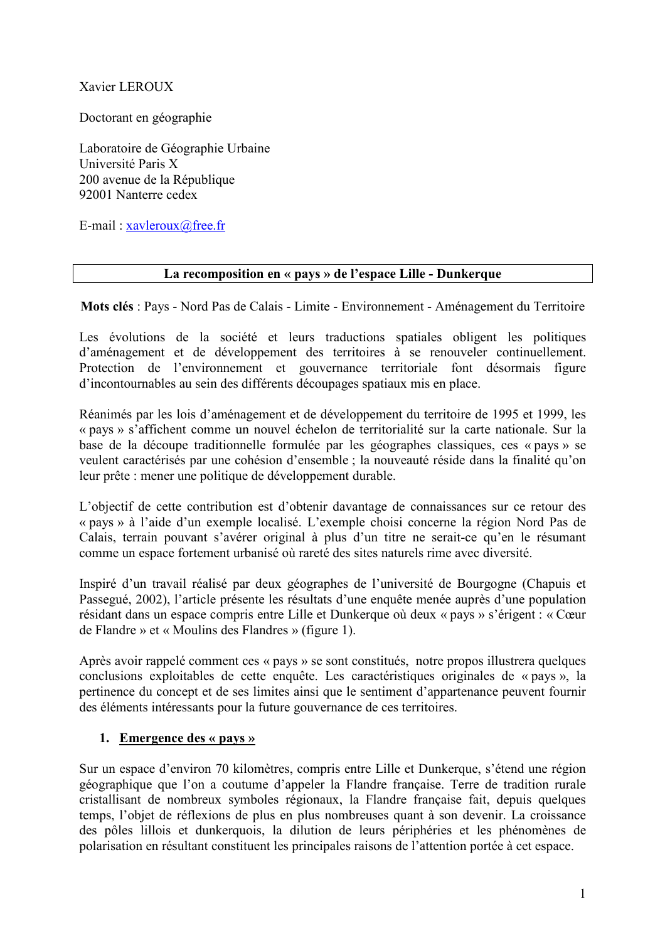Xavier LEROUX

Doctorant en géographie

Laboratoire de Géographie Urbaine Université Paris X 200 avenue de la République 92001 Nanterre cedex

E-mail:  $xavleroux@free.fr$ 

#### La recomposition en « pays » de l'espace Lille - Dunkerque

Mots clés : Pays - Nord Pas de Calais - Limite - Environnement - Aménagement du Territoire

Les évolutions de la société et leurs traductions spatiales obligent les politiques d'aménagement et de développement des territoires à se renouveler continuellement. Protection de l'environnement et gouvernance territoriale font désormais figure d'incontournables au sein des différents découpages spatiaux mis en place.

Réanimés par les lois d'aménagement et de développement du territoire de 1995 et 1999, les « pays » s'affichent comme un nouvel échelon de territorialité sur la carte nationale. Sur la base de la découpe traditionnelle formulée par les géographes classiques, ces « pays » se veulent caractérisés par une cohésion d'ensemble ; la nouveauté réside dans la finalité qu'on leur prête : mener une politique de développement durable.

L'objectif de cette contribution est d'obtenir davantage de connaissances sur ce retour des « pays » à l'aide d'un exemple localisé. L'exemple choisi concerne la région Nord Pas de Calais, terrain pouvant s'avérer original à plus d'un titre ne serait-ce qu'en le résumant comme un espace fortement urbanisé où rareté des sites naturels rime avec diversité.

Inspiré d'un travail réalisé par deux géographes de l'université de Bourgogne (Chapuis et Passegué, 2002), l'article présente les résultats d'une enquête menée auprès d'une population résidant dans un espace compris entre Lille et Dunkerque où deux « pays » s'érigent : « Cœur de Flandre » et « Moulins des Flandres » (figure 1).

Après avoir rappelé comment ces « pays » se sont constitués, notre propos illustrera quelques conclusions exploitables de cette enquête. Les caractéristiques originales de « pays », la pertinence du concept et de ses limites ainsi que le sentiment d'appartenance peuvent fournir des éléments intéressants pour la future gouvernance de ces territoires.

### 1. Emergence des « pays »

Sur un espace d'environ 70 kilomètres, compris entre Lille et Dunkerque, s'étend une région géographique que l'on a coutume d'appeler la Flandre française. Terre de tradition rurale cristallisant de nombreux symboles régionaux, la Flandre française fait, depuis quelques temps. l'objet de réflexions de plus en plus nombreuses quant à son devenir. La croissance des pôles lillois et dunkerquois, la dilution de leurs périphéries et les phénomènes de polarisation en résultant constituent les principales raisons de l'attention portée à cet espace.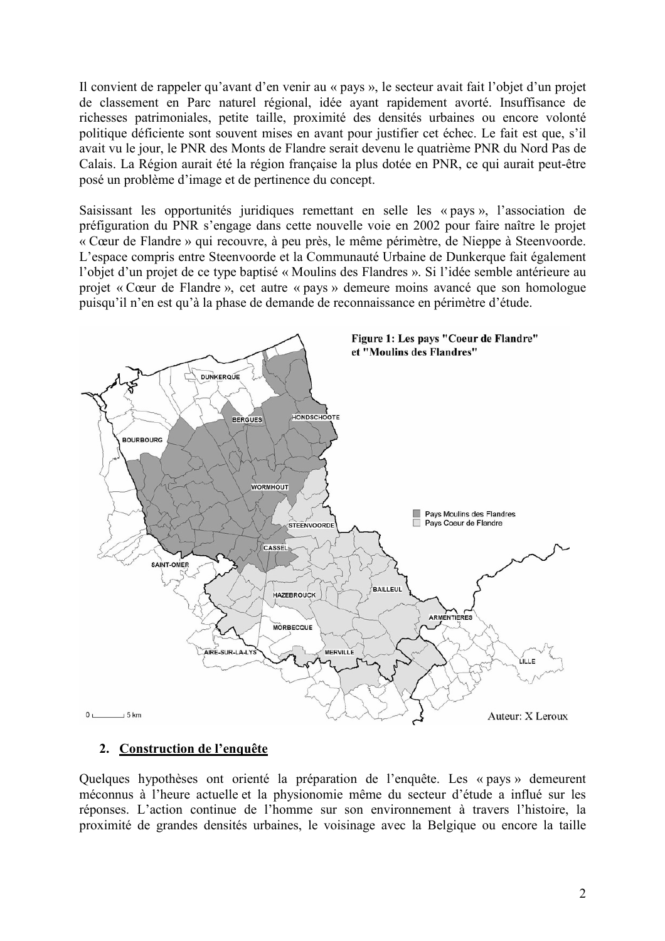Il convient de rappeler qu'avant d'en venir au « pays », le secteur avait fait l'objet d'un projet de classement en Parc naturel régional, idée ayant rapidement avorté. Insuffisance de richesses patrimoniales, petite taille, proximité des densités urbaines ou encore volonté politique déficiente sont souvent mises en avant pour justifier cet échec. Le fait est que, s'il avait vu le jour, le PNR des Monts de Flandre serait devenu le quatrième PNR du Nord Pas de Calais. La Région aurait été la région française la plus dotée en PNR, ce qui aurait peut-être posé un problème d'image et de pertinence du concept.

Saisissant les opportunités juridiques remettant en selle les « pays », l'association de préfiguration du PNR s'engage dans cette nouvelle voie en 2002 pour faire naître le projet « Cœur de Flandre » qui recouvre, à peu près, le même périmètre, de Nieppe à Steenvoorde. L'espace compris entre Steenvoorde et la Communauté Urbaine de Dunkerque fait également l'objet d'un projet de ce type baptisé « Moulins des Flandres ». Si l'idée semble antérieure au projet « Cœur de Flandre », cet autre « pays » demeure moins avancé que son homologue puisqu'il n'en est qu'à la phase de demande de reconnaissance en périmètre d'étude.



# 2. Construction de l'enquête

Quelques hypothèses ont orienté la préparation de l'enquête. Les « pays » demeurent méconnus à l'heure actuelle et la physionomie même du secteur d'étude a influé sur les réponses. L'action continue de l'homme sur son environnement à travers l'histoire, la proximité de grandes densités urbaines, le voisinage avec la Belgique ou encore la taille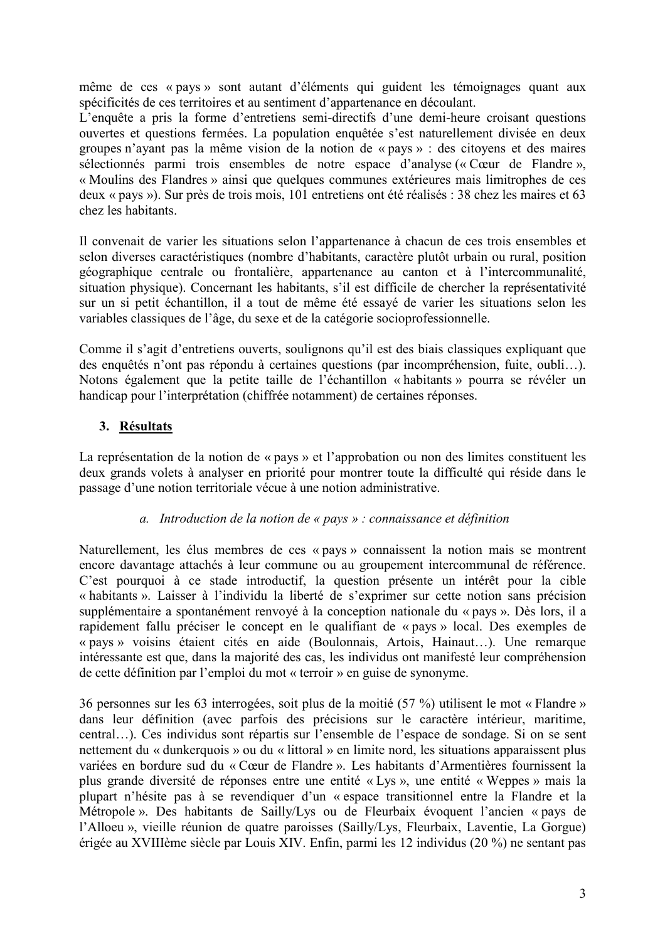même de ces « pays » sont autant d'éléments qui guident les témoignages quant aux spécificités de ces territoires et au sentiment d'appartenance en découlant.

L'enquête a pris la forme d'entretiens semi-directifs d'une demi-heure croisant questions ouvertes et questions fermées. La population enquêtée s'est naturellement divisée en deux groupes n'ayant pas la même vision de la notion de « pays » : des citoyens et des maires sélectionnés parmi trois ensembles de notre espace d'analyse (« Cœur de Flandre », « Moulins des Flandres » ainsi que quelques communes extérieures mais limitrophes de ces deux « pays »). Sur près de trois mois, 101 entretiens ont été réalisés : 38 chez les maires et 63 chez les habitants.

Il convenait de varier les situations selon l'appartenance à chacun de ces trois ensembles et selon diverses caractéristiques (nombre d'habitants, caractère plutôt urbain ou rural, position géographique centrale ou frontalière, appartenance au canton et à l'intercommunalité, situation physique). Concernant les habitants, s'il est difficile de chercher la représentativité sur un si petit échantillon, il a tout de même été essayé de varier les situations selon les variables classiques de l'âge, du sexe et de la catégorie socioprofessionnelle.

Comme il s'agit d'entretiens ouverts, soulignons qu'il est des biais classiques expliquant que des enquêtés n'ont pas répondu à certaines questions (par incompréhension, fuite, oubli...). Notons également que la petite taille de l'échantillon « habitants » pourra se révéler un handicap pour l'interprétation (chiffrée notamment) de certaines réponses.

# 3. Résultats

La représentation de la notion de « pays » et l'approbation ou non des limites constituent les deux grands volets à analyser en priorité pour montrer toute la difficulté qui réside dans le passage d'une notion territoriale vécue à une notion administrative.

### a. Introduction de la notion de « pays » : connaissance et définition

Naturellement, les élus membres de ces « pays » connaissent la notion mais se montrent encore davantage attachés à leur commune ou au groupement intercommunal de référence. C'est pourquoi à ce stade introductif, la question présente un intérêt pour la cible « habitants ». Laisser à l'individu la liberté de s'exprimer sur cette notion sans précision supplémentaire a spontanément renvoyé à la conception nationale du « pays ». Dès lors, il a rapidement fallu préciser le concept en le qualifiant de « pays » local. Des exemples de « pays » voisins étaient cités en aide (Boulonnais, Artois, Hainaut...). Une remarque intéressante est que, dans la majorité des cas, les individus ont manifesté leur compréhension de cette définition par l'emploi du mot « terroir » en guise de synonyme.

36 personnes sur les 63 interrogées, soit plus de la moitié (57 %) utilisent le mot « Flandre » dans leur définition (avec parfois des précisions sur le caractère intérieur, maritime, central...). Ces individus sont répartis sur l'ensemble de l'espace de sondage. Si on se sent nettement du « dunkerquois » ou du « littoral » en limite nord, les situations apparaissent plus variées en bordure sud du « Cœur de Flandre ». Les habitants d'Armentières fournissent la plus grande diversité de réponses entre une entité « Lys », une entité « Weppes » mais la plupart n'hésite pas à se revendiquer d'un « espace transitionnel entre la Flandre et la Métropole». Des habitants de Sailly/Lys ou de Fleurbaix évoquent l'ancien « pays de l'Alloeu », vieille réunion de quatre paroisses (Sailly/Lys, Fleurbaix, Laventie, La Gorgue) érigée au XVIIIème siècle par Louis XIV. Enfin, parmi les 12 individus (20 %) ne sentant pas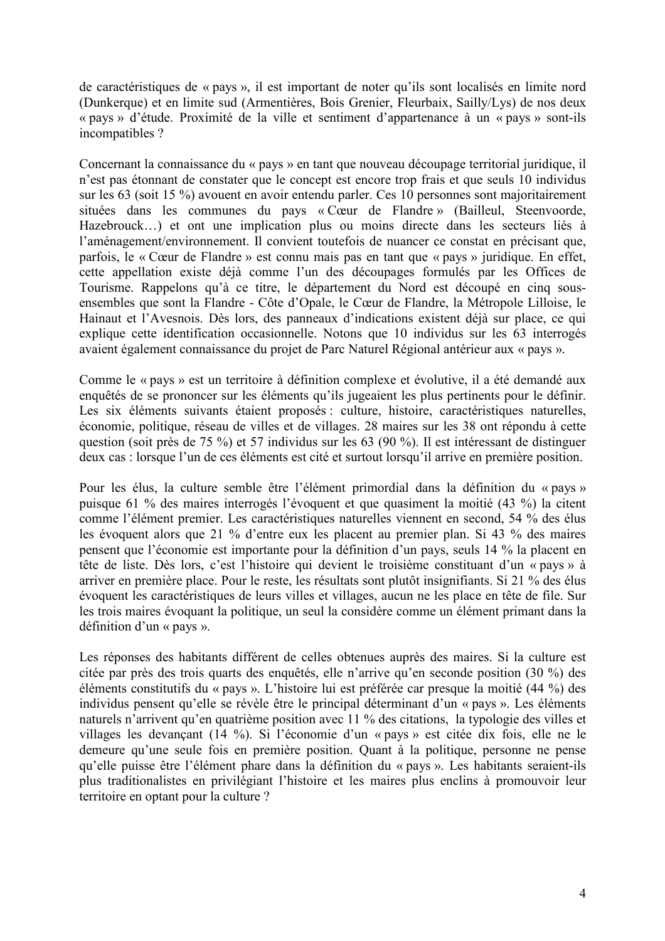de caractéristiques de « pays », il est important de noter qu'ils sont localisés en limite nord (Dunkerque) et en limite sud (Armentières, Bois Grenier, Fleurbaix, Sailly/Lys) de nos deux « pays » d'étude. Proximité de la ville et sentiment d'appartenance à un « pays » sont-ils incompatibles?

Concernant la connaissance du « pays » en tant que nouveau découpage territorial juridique, il n'est pas étonnant de constater que le concept est encore trop frais et que seuls 10 individus sur les 63 (soit 15 %) avouent en avoir entendu parler. Ces 10 personnes sont majoritairement situées dans les communes du pays « Cœur de Flandre » (Bailleul, Steenvoorde, Hazebrouck...) et ont une implication plus ou moins directe dans les secteurs liés à l'aménagement/environnement. Il convient toutefois de nuancer ce constat en précisant que, parfois, le « Cœur de Flandre » est connu mais pas en tant que « pays » juridique. En effet, cette appellation existe déjà comme l'un des découpages formulés par les Offices de Tourisme. Rappelons qu'à ce titre, le département du Nord est découpé en cinq sousensembles que sont la Flandre - Côte d'Opale, le Cœur de Flandre, la Métropole Lilloise, le Hainaut et l'Avesnois. Dès lors, des panneaux d'indications existent déjà sur place, ce qui explique cette identification occasionnelle. Notons que 10 individus sur les 63 interrogés avaient également connaissance du projet de Parc Naturel Régional antérieur aux « pays ».

Comme le « pays » est un territoire à définition complexe et évolutive, il a été demandé aux enquêtés de se prononcer sur les éléments qu'ils jugeaient les plus pertinents pour le définir. Les six éléments suivants étaient proposés : culture, histoire, caractéristiques naturelles, économie, politique, réseau de villes et de villages. 28 maires sur les 38 ont répondu à cette question (soit près de 75 %) et 57 individus sur les 63 (90 %). Il est intéressant de distinguer deux cas : lorsque l'un de ces éléments est cité et surtout lorsqu'il arrive en première position.

Pour les élus, la culture semble être l'élément primordial dans la définition du « pays » puisque 61 % des maires interrogés l'évoquent et que quasiment la moitié (43 %) la citent comme l'élément premier. Les caractéristiques naturelles viennent en second, 54 % des élus les évoquent alors que 21 % d'entre eux les placent au premier plan. Si 43 % des maires pensent que l'économie est importante pour la définition d'un pays, seuls 14 % la placent en tête de liste. Dès lors, c'est l'histoire qui devient le troisième constituant d'un « pays » à arriver en première place. Pour le reste, les résultats sont plutôt insignifiants. Si 21 % des élus évoquent les caractéristiques de leurs villes et villages, aucun ne les place en tête de file. Sur les trois maires évoquant la politique, un seul la considère comme un élément primant dans la définition d'un « pays ».

Les réponses des habitants différent de celles obtenues auprès des maires. Si la culture est citée par près des trois quarts des enquêtés, elle n'arrive qu'en seconde position (30 %) des éléments constitutifs du « pays ». L'histoire lui est préférée car presque la moitié  $(44\%)$  des individus pensent qu'elle se révèle être le principal déterminant d'un « pays ». Les éléments naturels n'arrivent qu'en quatrième position avec 11 % des citations, la typologie des villes et villages les devançant (14 %). Si l'économie d'un « pays » est citée dix fois, elle ne le demeure qu'une seule fois en première position. Quant à la politique, personne ne pense au'elle puisse être l'élément phare dans la définition du « pays ». Les habitants seraient-ils plus traditionalistes en privilégiant l'histoire et les maires plus enclins à promouvoir leur territoire en optant pour la culture ?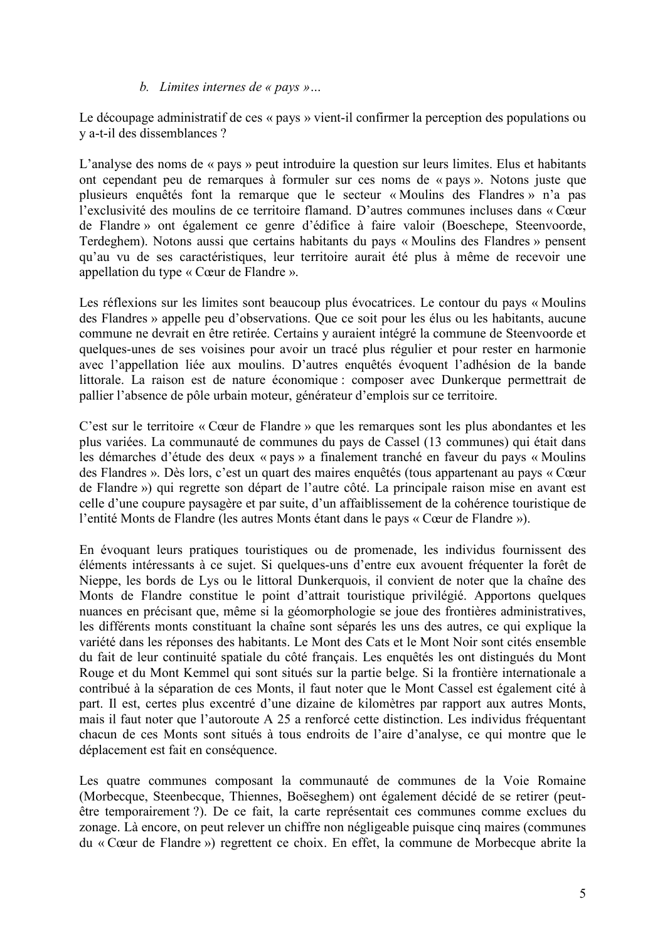#### b. Limites internes de « pays »...

Le découpage administratif de ces « pays » vient-il confirmer la perception des populations ou v a-t-il des dissemblances ?

L'analyse des noms de « pays » peut introduire la question sur leurs limites. Elus et habitants ont cependant peu de remarques à formuler sur ces noms de « pays ». Notons juste que plusieurs enquêtés font la remarque que le secteur « Moulins des Flandres » n'a pas l'exclusivité des moulins de ce territoire flamand. D'autres communes incluses dans « Cœur de Flandre » ont également ce genre d'édifice à faire valoir (Boeschepe, Steenvoorde, Terdeghem). Notons aussi que certains habitants du pays « Moulins des Flandres » pensent qu'au vu de ses caractéristiques, leur territoire aurait été plus à même de recevoir une appellation du type « Cœur de Flandre ».

Les réflexions sur les limites sont beaucoup plus évocatrices. Le contour du pays « Moulins des Flandres » appelle peu d'observations. Que ce soit pour les élus ou les habitants, aucune commune ne devrait en être retirée. Certains y auraient intégré la commune de Steenvoorde et quelques-unes de ses voisines pour avoir un tracé plus régulier et pour rester en harmonie avec l'appellation liée aux moulins. D'autres enquêtés évoquent l'adhésion de la bande littorale. La raison est de nature économique : composer avec Dunkerque permettrait de pallier l'absence de pôle urbain moteur, générateur d'emplois sur ce territoire.

C'est sur le territoire « Cœur de Flandre » que les remarques sont les plus abondantes et les plus variées. La communauté de communes du pays de Cassel (13 communes) qui était dans les démarches d'étude des deux « pays » a finalement tranché en faveur du pays « Moulins des Flandres ». Dès lors, c'est un quart des maires enquêtés (tous appartenant au pays « Cœur de Flandre ») qui regrette son départ de l'autre côté. La principale raison mise en avant est celle d'une coupure paysagère et par suite, d'un affaiblissement de la cohérence touristique de l'entité Monts de Flandre (les autres Monts étant dans le pays « Cœur de Flandre »).

En évoquant leurs pratiques touristiques ou de promenade, les individus fournissent des éléments intéressants à ce sujet. Si quelques-uns d'entre eux avouent fréquenter la forêt de Nieppe, les bords de Lys ou le littoral Dunkerquois, il convient de noter que la chaîne des Monts de Flandre constitue le point d'attrait touristique privilégié. Apportons quelques nuances en précisant que, même si la géomorphologie se joue des frontières administratives, les différents monts constituant la chaîne sont séparés les uns des autres, ce qui explique la variété dans les réponses des habitants. Le Mont des Cats et le Mont Noir sont cités ensemble du fait de leur continuité spatiale du côté français. Les enquêtés les ont distingués du Mont Rouge et du Mont Kemmel qui sont situés sur la partie belge. Si la frontière internationale a contribué à la séparation de ces Monts, il faut noter que le Mont Cassel est également cité à part. Il est, certes plus excentré d'une dizaine de kilomètres par rapport aux autres Monts, mais il faut noter que l'autoroute A 25 a renforcé cette distinction. Les individus fréquentant chacun de ces Monts sont situés à tous endroits de l'aire d'analyse, ce qui montre que le déplacement est fait en conséquence.

Les quatre communes composant la communauté de communes de la Voie Romaine (Morbecque, Steenbecque, Thiennes, Boëseghem) ont également décidé de se retirer (peutêtre temporairement ?). De ce fait, la carte représentait ces communes comme exclues du zonage. Là encore, on peut relever un chiffre non négligeable puisque cinq maires (communes du « Cœur de Flandre ») regrettent ce choix. En effet, la commune de Morbecque abrite la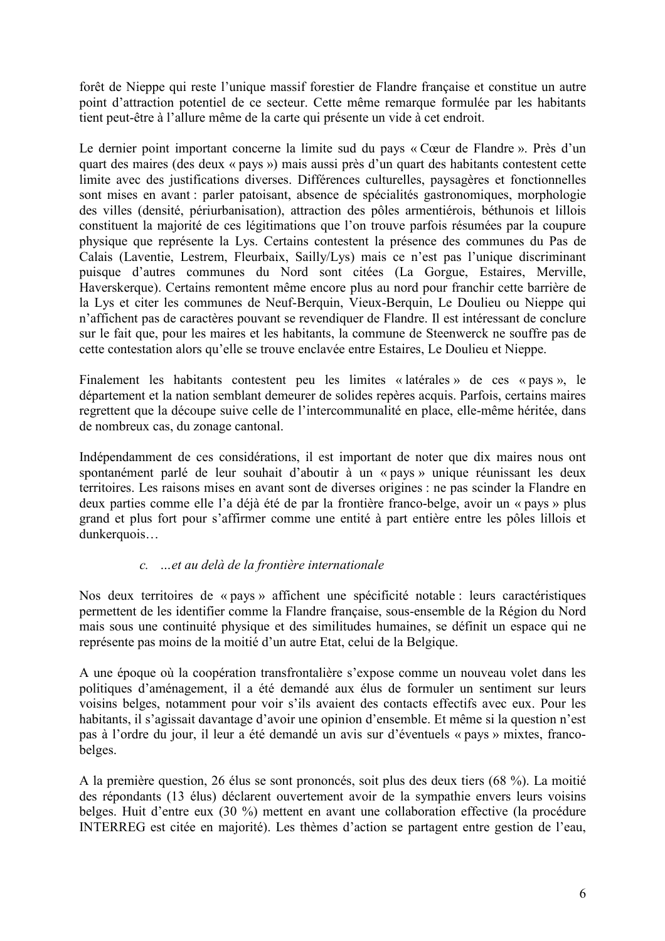forêt de Nieppe qui reste l'unique massif forestier de Flandre française et constitue un autre point d'attraction potentiel de ce secteur. Cette même remarque formulée par les habitants tient peut-être à l'allure même de la carte qui présente un vide à cet endroit.

Le dernier point important concerne la limite sud du pays « Cœur de Flandre ». Près d'un quart des maires (des deux « pays ») mais aussi près d'un quart des habitants contestent cette limite avec des justifications diverses. Différences culturelles, paysagères et fonctionnelles sont mises en avant : parler patoisant, absence de spécialités gastronomiques, morphologie des villes (densité, périurbanisation), attraction des pôles armentiérois, béthunois et lillois constituent la majorité de ces légitimations que l'on trouve parfois résumées par la coupure physique que représente la Lys. Certains contestent la présence des communes du Pas de Calais (Laventie, Lestrem, Fleurbaix, Sailly/Lys) mais ce n'est pas l'unique discriminant puisque d'autres communes du Nord sont citées (La Gorgue, Estaires, Merville, Haverskerque). Certains remontent même encore plus au nord pour franchir cette barrière de la Lys et citer les communes de Neuf-Berguin, Vieux-Berguin, Le Doulieu ou Nieppe qui n'affichent pas de caractères pouvant se revendiquer de Flandre. Il est intéressant de conclure sur le fait que, pour les maires et les habitants, la commune de Steenwerck ne souffre pas de cette contestation alors qu'elle se trouve enclavée entre Estaires, Le Doulieu et Nieppe.

Finalement les habitants contestent peu les limites « latérales » de ces « pays ». le département et la nation semblant demeurer de solides repères acquis. Parfois, certains maires regrettent que la découpe suive celle de l'intercommunalité en place, elle-même héritée, dans de nombreux cas, du zonage cantonal.

Indépendamment de ces considérations, il est important de noter que dix maires nous ont spontanément parlé de leur souhait d'aboutir à un « pays » unique réunissant les deux territoires. Les raisons mises en avant sont de diverses origines : ne pas scinder la Flandre en deux parties comme elle l'a déjà été de par la frontière franco-belge, avoir un « pays » plus grand et plus fort pour s'affirmer comme une entité à part entière entre les pôles lillois et dunkerquois...

### c. ... et au delà de la frontière internationale

Nos deux territoires de « pays » affichent une spécificité notable : leurs caractéristiques permettent de les identifier comme la Flandre française, sous-ensemble de la Région du Nord mais sous une continuité physique et des similitudes humaines, se définit un espace qui ne représente pas moins de la moitié d'un autre Etat, celui de la Belgique.

A une époque où la coopération transfrontalière s'expose comme un nouveau volet dans les politiques d'aménagement, il a été demandé aux élus de formuler un sentiment sur leurs voisins belges, notamment pour voir s'ils avaient des contacts effectifs avec eux. Pour les habitants, il s'agissait davantage d'avoir une opinion d'ensemble. Et même si la question n'est pas à l'ordre du jour, il leur a été demandé un avis sur d'éventuels « pays » mixtes, francobelges.

A la première question, 26 élus se sont prononcés, soit plus des deux tiers (68 %). La moitié des répondants (13 élus) déclarent ouvertement avoir de la sympathie envers leurs voisins belges. Huit d'entre eux (30 %) mettent en avant une collaboration effective (la procédure INTERREG est citée en maiorité). Les thèmes d'action se partagent entre gestion de l'eau.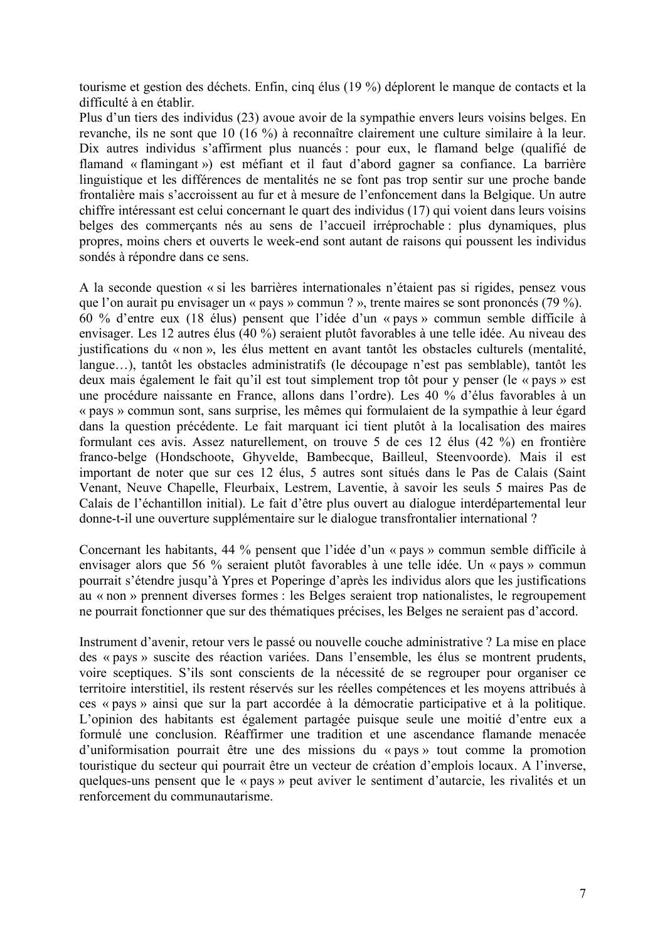tourisme et gestion des déchets. Enfin, cinq élus (19 %) déplorent le manque de contacts et la difficulté à en établir.

Plus d'un tiers des individus (23) avoue avoir de la sympathie envers leurs voisins belges. En revanche, ils ne sont que 10 (16 %) à reconnaître clairement une culture similaire à la leur. Dix autres individus s'affirment plus nuancés : pour eux, le flamand belge (qualifié de flamand « flamingant ») est méfiant et il faut d'abord gagner sa confiance. La barrière linguistique et les différences de mentalités ne se font pas trop sentir sur une proche bande frontalière mais s'accroissent au fur et à mesure de l'enfoncement dans la Belgique. Un autre chiffre intéressant est celui concernant le quart des individus (17) qui voient dans leurs voisins belges des commerçants nés au sens de l'accueil irréprochable : plus dynamiques, plus propres, moins chers et ouverts le week-end sont autant de raisons qui poussent les individus sondés à répondre dans ce sens.

A la seconde question « si les barrières internationales n'étaient pas si rigides, pensez vous que l'on aurait pu envisager un « pays » commun ? », trente maires se sont prononcés (79 %). 60 % d'entre eux (18 élus) pensent que l'idée d'un « pays » commun semble difficile à envisager. Les 12 autres élus (40 %) seraient plutôt favorables à une telle idée. Au niveau des justifications du « non », les élus mettent en avant tantôt les obstacles culturels (mentalité, langue...), tantôt les obstacles administratifs (le découpage n'est pas semblable), tantôt les deux mais également le fait qu'il est tout simplement trop tôt pour y penser (le « pays » est une procédure naissante en France, allons dans l'ordre). Les 40 % d'élus favorables à un « pays » commun sont, sans surprise, les mêmes qui formulaient de la sympathie à leur égard dans la question précédente. Le fait marquant ici tient plutôt à la localisation des maires formulant ces avis. Assez naturellement, on trouve 5 de ces 12 élus (42 %) en frontière franco-belge (Hondschoote, Ghyvelde, Bambecque, Bailleul, Steenvoorde). Mais il est important de noter que sur ces 12 élus, 5 autres sont situés dans le Pas de Calais (Saint Venant, Neuve Chapelle, Fleurbaix, Lestrem, Laventie, à savoir les seuls 5 maires Pas de Calais de l'échantillon initial). Le fait d'être plus ouvert au dialogue interdépartemental leur donne-t-il une ouverture supplémentaire sur le dialogue transfrontalier international?

Concernant les habitants, 44 % pensent que l'idée d'un « pays » commun semble difficile à envisager alors que 56 % seraient plutôt favorables à une telle idée. Un « pays » commun pourrait s'étendre jusqu'à Ypres et Poperinge d'après les individus alors que les justifications au « non » prennent diverses formes : les Belges seraient trop nationalistes, le regroupement ne pourrait fonctionner que sur des thématiques précises, les Belges ne seraient pas d'accord.

Instrument d'avenir, retour vers le passé ou nouvelle couche administrative ? La mise en place des « pays » suscite des réaction variées. Dans l'ensemble, les élus se montrent prudents, voire sceptiques. S'ils sont conscients de la nécessité de se regrouper pour organiser ce territoire interstitiel, ils restent réservés sur les réelles compétences et les moyens attribués à ces « pays » ainsi que sur la part accordée à la démocratie participative et à la politique. L'opinion des habitants est également partagée puisque seule une moitié d'entre eux a formulé une conclusion. Réaffirmer une tradition et une ascendance flamande menacée d'uniformisation pourrait être une des missions du « pays » tout comme la promotion touristique du secteur qui pourrait être un vecteur de création d'emplois locaux. A l'inverse, quelques-uns pensent que le « pays » peut aviver le sentiment d'autarcie, les rivalités et un renforcement du communautarisme